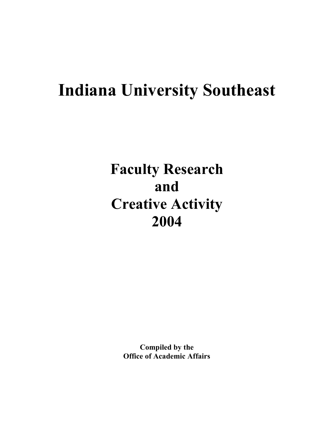# **Indiana University Southeast**

**Faculty Research and Creative Activity 2004**

> **Compiled by the Office of Academic Affairs**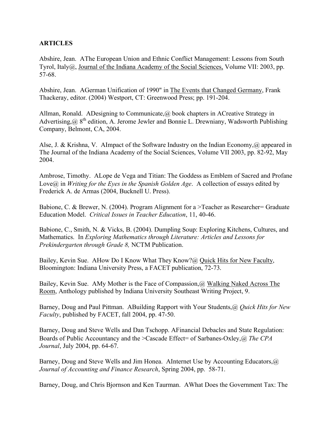## **ARTICLES**

Abshire, Jean. AThe European Union and Ethnic Conflict Management: Lessons from South Tyrol, Italy@, Journal of the Indiana Academy of the Social Sciences, Volume VII: 2003, pp. 57-68.

Abshire, Jean. AGerman Unification of 1990" in The Events that Changed Germany, Frank Thackeray, editor. (2004) Westport, CT: Greenwood Press; pp. 191-204.

Allman, Ronald. ADesigning to Communicate,@ book chapters in ACreative Strategy in Advertising,  $\omega$  8<sup>th</sup> edition, A. Jerome Jewler and Bonnie L. Drewniany, Wadsworth Publishing Company, Belmont, CA, 2004.

Alse, J. & Krishna, V. AImpact of the Software Industry on the Indian Economy,@ appeared in The Journal of the Indiana Academy of the Social Sciences, Volume VII 2003, pp. 82-92, May 2004.

Ambrose, Timothy. ALope de Vega and Titian: The Goddess as Emblem of Sacred and Profane Love@ in *Writing for the Eyes in the Spanish Golden Age*. A collection of essays edited by Frederick A. de Armas (2004, Bucknell U. Press).

Babione, C. & Brewer, N. (2004). Program Alignment for a >Teacher as Researcher= Graduate Education Model. *Critical Issues in Teacher Education*, 11, 40-46.

Babione, C., Smith, N. & Vicks, B. (2004). Dumpling Soup: Exploring Kitchens, Cultures, and Mathematics. In *Exploring Mathematics through Literature: Articles and Lessons for Prekindergarten through Grade 8,* NCTM Publication.

Bailey, Kevin Sue. AHow Do I Know What They Know?@ Quick Hits for New Faculty, Bloomington: Indiana University Press, a FACET publication, 72-73.

Bailey, Kevin Sue. AMy Mother is the Face of Compassion,@ Walking Naked Across The Room, Anthology published by Indiana University Southeast Writing Project, 9.

Barney, Doug and Paul Pittman. ABuilding Rapport with Your Students,@ *Quick Hits for New Faculty*, published by FACET, fall 2004, pp. 47-50.

Barney, Doug and Steve Wells and Dan Tschopp. AFinancial Debacles and State Regulation: Boards of Public Accountancy and the >Cascade Effect= of Sarbanes-Oxley,@ *The CPA Journal*, July 2004, pp. 64-67.

Barney, Doug and Steve Wells and Jim Honea. AInternet Use by Accounting Educators, @ *Journal of Accounting and Finance Research*, Spring 2004, pp. 58-71.

Barney, Doug, and Chris Bjornson and Ken Taurman. AWhat Does the Government Tax: The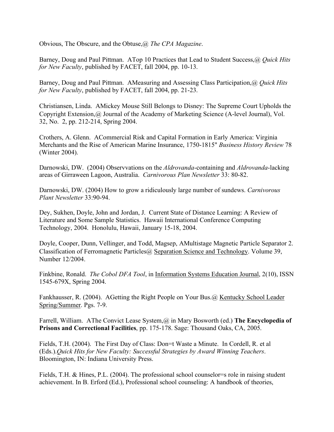Obvious, The Obscure, and the Obtuse,@ *The CPA Magazine*.

Barney, Doug and Paul Pittman. ATop 10 Practices that Lead to Student Success,@ *Quick Hits for New Faculty*, published by FACET, fall 2004, pp. 10-13.

Barney, Doug and Paul Pittman. AMeasuring and Assessing Class Participation,@ *Quick Hits for New Faculty*, published by FACET, fall 2004, pp. 21-23.

Christiansen, Linda. AMickey Mouse Still Belongs to Disney: The Supreme Court Upholds the Copyright Extension,@ Journal of the Academy of Marketing Science (A-level Journal), Vol. 32, No. 2, pp. 212-214, Spring 2004.

Crothers, A. Glenn. ACommercial Risk and Capital Formation in Early America: Virginia Merchants and the Rise of American Marine Insurance, 1750-1815" *Business History Review* 78 (Winter 2004).

Darnowski, DW. (2004) Observvations on the *Aldrovanda*-containing and *Aldrovanda*-lacking areas of Girraween Lagoon, Australia. *Carnivorous Plan Newsletter* 33: 80-82.

Darnowski, DW. (2004) How to grow a ridiculously large number of sundews. *Carnivorous Plant Newsletter* 33:90-94.

Dey, Sukhen, Doyle, John and Jordan, J. Current State of Distance Learning: A Review of Literature and Some Sample Statistics. Hawaii International Conference Computing Technology, 2004. Honolulu, Hawaii, January 15-18, 2004.

Doyle, Cooper, Dunn, Vellinger, and Todd, Magsep, AMultistage Magnetic Particle Separator 2. Classification of Ferromagnetic Particles@ Separation Science and Technology. Volume 39, Number 12/2004.

Finkbine, Ronald. *The Cobol DFA Tool*, in Information Systems Education Journal, 2(10), ISSN 1545-679X, Spring 2004.

Fankhausser, R. (2004). AGetting the Right People on Your Bus.@ Kentucky School Leader Spring/Summer. Pgs. 7-9.

Farrell, William. AThe Convict Lease System,@ in Mary Bosworth (ed.) **The Encyclopedia of Prisons and Correctional Facilities**, pp. 175-178. Sage: Thousand Oaks, CA, 2005.

Fields, T.H. (2004). The First Day of Class: Don=t Waste a Minute. In Cordell, R. et al (Eds.).*Quick Hits for New Faculty: Successful Strategies by Award Winning Teachers*. Bloomington, IN: Indiana University Press.

Fields, T.H. & Hines, P.L. (2004). The professional school counselor=s role in raising student achievement. In B. Erford (Ed.), Professional school counseling: A handbook of theories,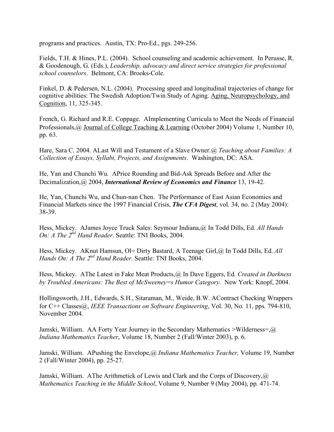programs and practices. Austin, TX: Pro-Ed., pgs. 249-256.

Fields, T.H. & Hines, P.L. (2004). School counseling and academic achievement. In Perusse, R. & Goodenough, G. (Eds.), *Leadership, advocacy and direct service strategies for professional school counselors*. Belmont, CA: Brooks-Cole.

Finkel, D. & Pedersen, N.L. (2004). Processing speed and longitudinal trajectories of change for cognitive abilities: The Swedish Adoption/Twin Study of Aging. Aging, Neuropsychology, and Cognition, 11, 325-345.

French, G. Richard and R.E. Coppage. AImplementing Curricula to Meet the Needs of Financial Professionals,@ Journal of College Teaching & Learning (October 2004) Volume 1, Number 10, pp. 63.

Hare, Sara C. 2004. ALast Will and Testament of a Slave Owner.@ *Teaching about Families: A Collection of Essays, Syllabi, Projects, and Assignments*. Washington, DC: ASA.

He, Yan and Chunchi Wu. APrice Rounding and Bid-Ask Spreads Before and After the Decimalization,@ 2004, *International Review of Economics and Finance* 13, 19-42.

He, Yan, Chunchi Wu, and Chun-nan Chen. The Performance of East Asian Economics and Financial Markets since the 1997 Financial Crisis, *The CFA Digest*, vol. 34, no. 2 (May 2004): 38-39.

Hess, Mickey. AJames Joyce Truck Sales: Seymour Indiana,@ In Todd Dills, Ed. *All Hands On: A The 2nd Hand Reader*. Seattle: TNI Books, 2004.

Hess, Mickey. AKnut Hamsun, Ol= Dirty Bastard, A Teenage Girl,@ In Todd Dills, Ed. All *Hands On: A The 2nd Hand Reader*. Seattle: TNI Books, 2004.

Hess, Mickey. AThe Latest in Fake Meat Products,@ In Dave Eggers, Ed. *Created in Darkness by Troubled Americans: The Best of McSweeney=s Humor Category*. New York: Knopf, 2004.

Hollingsworth, J.H., Edwards, S.H., Sitaraman, M., Weide, B.W. AContract Checking Wrappers for C++ Classes@, *IEEE Transactions on Software Engineering*, Vol. 30, No. 11, pps. 794-810, November 2004.

Jamski, William. AA Forty Year Journey in the Secondary Mathematics >Wilderness= $\mathcal{R}$ *Indiana Mathematics Teacher*, Volume 18, Number 2 (Fall/Winter 2003), p. 6.

Jamski, William. APushing the Envelope,@ *Indiana Mathematics Teacher,* Volume 19, Number 2 (Fall/Winter 2004), pp. 25-27.

Jamski, William. AThe Arithmetick of Lewis and Clark and the Corps of Discovery,  $\omega$ *Mathematics Teaching in the Middle School*, Volume 9, Number 9 (May 2004), pp. 471-74.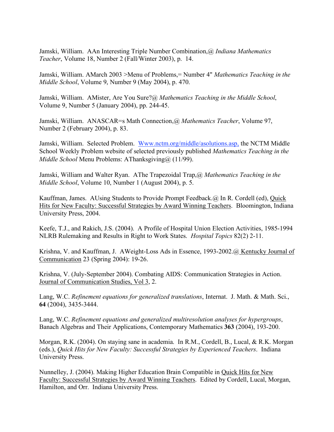Jamski, William. AAn Interesting Triple Number Combination,@ *Indiana Mathematics Teacher*, Volume 18, Number 2 (Fall/Winter 2003), p. 14.

Jamski, William. AMarch 2003 >Menu of Problems,= Number 4" *Mathematics Teaching in the Middle School*, Volume 9, Number 9 (May 2004), p. 470.

Jamski, William. AMister, Are You Sure?@ *Mathematics Teaching in the Middle School*, Volume 9, Number 5 (January 2004), pp. 244-45.

Jamski, William. ANASCAR=s Math Connection,@ *Mathematics Teacher*, Volume 97, Number 2 (February 2004), p. 83.

Jamski, William. Selected Problem. Www.nctm.org/middle/asolutions.asp, the NCTM Middle School Weekly Problem website of selected previously published *Mathematics Teaching in the Middle School* Menu Problems: AThanksgiving@ (11/99).

Jamski, William and Walter Ryan. AThe Trapezoidal Trap,@ *Mathematics Teaching in the Middle School*, Volume 10, Number 1 (August 2004), p. 5.

Kauffman, James. AUsing Students to Provide Prompt Feedback.@ In R. Cordell (ed), Quick Hits for New Faculty: Successful Strategies by Award Winning Teachers. Bloomington, Indiana University Press, 2004.

Keefe, T.J., and Rakich, J.S. (2004). A Profile of Hospital Union Election Activities, 1985-1994 NLRB Rulemaking and Results in Right to Work States. *Hospital Topics* 82(2) 2-11.

Krishna, V. and Kauffman, J. AWeight-Loss Ads in Essence, 1993-2002.@ Kentucky Journal of Communication 23 (Spring 2004): 19-26.

Krishna, V. (July-September 2004). Combating AIDS: Communication Strategies in Action. Journal of Communication Studies, Vol 3, 2.

Lang, W.C. *Refinement equations for generalized translations*, Internat. J. Math. & Math. Sci., **64** (2004), 3435-3444.

Lang, W.C. *Refinement equations and generalized multiresolution analyses for hypergroups*, Banach Algebras and Their Applications, Contemporary Mathematics **363** (2004), 193-200.

Morgan, R.K. (2004). On staying sane in academia. In R.M., Cordell, B., Lucal, & R.K. Morgan (eds.), *Quick Hits for New Faculty: Successful Strategies by Experienced Teachers*. Indiana University Press.

Nunnelley, J. (2004). Making Higher Education Brain Compatible in Quick Hits for New Faculty: Successful Strategies by Award Winning Teachers. Edited by Cordell, Lucal, Morgan, Hamilton, and Orr. Indiana University Press.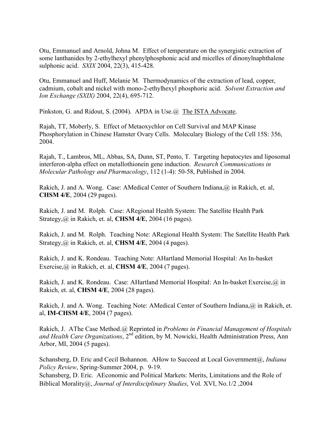Otu, Emmanuel and Arnold, Johna M. Effect of temperature on the synergistic extraction of some lanthanides by 2-ethylhexyl phenylphosphonic acid and micelles of dinonylnaphthalene sulphonic acid. *SXIX* 2004, 22(3), 415-428.

Otu, Emmanuel and Huff, Melanie M. Thermodynamics of the extraction of lead, copper, cadmium, cobalt and nickel with mono-2-ethylhexyl phosphoric acid. *Solvent Extraction and Ion Exchange (SXIX)* 2004, 22(4), 695-712.

Pinkston, G. and Ridout, S. (2004). APDA in Use. @ The ISTA Advocate.

Rajah, TT, Moberly, S. Effect of Metaoxychlor on Cell Survival and MAP Kinase Phosphorylation in Chinese Hamster Ovary Cells. Moleculary Biology of the Cell 15S: 356, 2004.

Rajah, T., Lambros, ML, Abbas, SA, Dunn, ST, Pento, T. Targeting hepatocytes and liposomal interferon-alpha effect on metallothionein gene induction. *Research Communications in Molecular Pathology and Pharmacology*, 112 (1-4): 50-58, Published in 2004.

Rakich, J. and A. Wong. Case: AMedical Center of Southern Indiana, @ in Rakich, et. al, **CHSM 4/E**, 2004 (29 pages).

Rakich, J. and M. Rolph. Case: ARegional Health System: The Satellite Health Park Strategy,@ in Rakich, et. al, **CHSM 4/E**, 2004 (16 pages).

Rakich, J. and M. Rolph. Teaching Note: ARegional Health System: The Satellite Health Park Strategy,@ in Rakich, et. al, **CHSM 4/E**, 2004 (4 pages).

Rakich, J. and K. Rondeau. Teaching Note: AHartland Memorial Hospital: An In-basket Exercise,@ in Rakich, et. al, **CHSM 4/E**, 2004 (7 pages).

Rakich, J. and K. Rondeau. Case: AHartland Memorial Hospital: An In-basket Exercise, @ in Rakich, et. al, **CHSM 4/E**, 2004 (28 pages).

Rakich, J. and A. Wong. Teaching Note: AMedical Center of Southern Indiana, @ in Rakich, et. al, **IM-CHSM 4/E**, 2004 (7 pages).

Rakich, J. AThe Case Method.@ Reprinted in *Problems in Financial Management of Hospitals* and Health Care Organizations, 2<sup>nd</sup> edition, by M. Nowicki, Health Administration Press, Ann Arbor, MI, 2004 (5 pages).

Schansberg, D. Eric and Cecil Bohannon. AHow to Succeed at Local Government@, *Indiana Policy Review*, Spring-Summer 2004, p. 9-19.

Schansberg, D. Eric. AEconomic and Political Markets: Merits, Limitations and the Role of Biblical Morality@, *Journal of Interdisciplinary Studies*, Vol. XVI, No.1/2 ,2004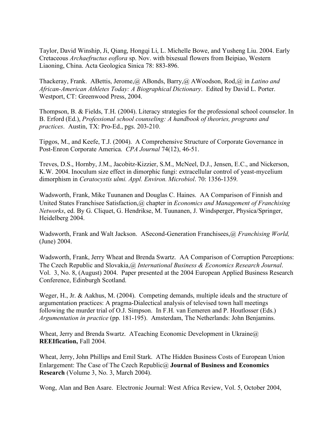Taylor, David Winship, Ji, Qiang, Hongqi Li, L. Michelle Bowe, and Yusheng Liu. 2004. Early Cretaceous *Archaefructus eoflora* sp. Nov. with bixesual flowers from Beipiao, Western Liaoning, China. Acta Geologica Sinica 78: 883-896.

Thackeray, Frank. ABettis, Jerome,@ ABonds, Barry,@ AWoodson, Rod,@ in *Latino and African-American Athletes Today: A Biographical Dictionary*. Edited by David L. Porter. Westport, CT: Greenwood Press, 2004.

Thompson, B. & Fields, T.H. (2004). Literacy strategies for the professional school counselor. In B. Erford (Ed.), *Professional school counseling: A handbook of theories, programs and practices*. Austin, TX: Pro-Ed., pgs. 203-210.

Tipgos, M., and Keefe, T.J. (2004). A Comprehensive Structure of Corporate Governance in Post-Enron Corporate America. *CPA Journal* 74(12), 46-51.

Treves, D.S., Hornby, J.M., Jacobitz-Kizzier, S.M., McNeel, D.J., Jensen, E.C., and Nickerson, K.W. 2004. Inoculum size effect in dimorphic fungi: extracellular control of yeast-mycelium dimorphism in *Ceratocystis ulmi. Appl. Environ. Microbiol*. 70: 1356-1359.

Wadsworth, Frank, Mike Tuunanen and Douglas C. Haines. AA Comparison of Finnish and United States Franchisee Satisfaction,@ chapter in *Economics and Management of Franchising Networks*, ed. By G. Cliquet, G. Hendrikse, M. Tuunanen, J. Windsperger, Physica/Springer, Heidelberg 2004.

Wadsworth, Frank and Walt Jackson. ASecond-Generation Franchisees,@ *Franchising World,* (June) 2004.

Wadsworth, Frank, Jerry Wheat and Brenda Swartz. AA Comparison of Corruption Perceptions: The Czech Republic and Slovakia,@ *International Business & Economics Research Journal*. Vol. 3, No. 8, (August) 2004. Paper presented at the 2004 European Applied Business Research Conference, Edinburgh Scotland.

Weger, H., Jr. & Aakhus, M. (2004). Competing demands, multiple ideals and the structure of argumentation practices: A pragma-Dialectical analysis of televised town hall meetings following the murder trial of O.J. Simpson. In F.H. van Eemeren and P. Houtlosser (Eds.) *Argumentation in practice* (pp. 181-195). Amsterdam, The Netherlands: John Benjamins.

Wheat, Jerry and Brenda Swartz. ATeaching Economic Development in Ukraine@ **REEIfication,** Fall 2004.

Wheat, Jerry, John Phillips and Emil Stark. AThe Hidden Business Costs of European Union Enlargement: The Case of The Czech Republic@ **Journal of Business and Economics Research** (Volume 3, No. 3, March 2004).

Wong, Alan and Ben Asare. Electronic Journal: West Africa Review, Vol. 5, October 2004,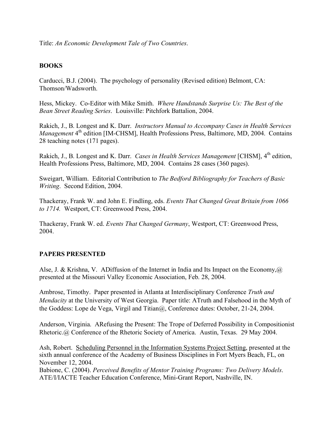Title: *An Economic Development Tale of Two Countries*.

## **BOOKS**

Carducci, B.J. (2004). The psychology of personality (Revised edition) Belmont, CA: Thomson/Wadsworth.

Hess, Mickey. Co-Editor with Mike Smith. *Where Handstands Surprise Us: The Best of the Bean Street Reading Series*. Louisville: Pitchfork Battalion, 2004.

Rakich, J., B. Longest and K. Darr. *Instructors Manual to Accompany Cases in Health Services Management* 4<sup>th</sup> edition [IM-CHSM], Health Professions Press, Baltimore, MD, 2004. Contains 28 teaching notes (171 pages).

Rakich, J., B. Longest and K. Darr. *Cases in Health Services Management* [CHSM], 4th edition, Health Professions Press, Baltimore, MD, 2004. Contains 28 cases (360 pages).

Sweigart, William. Editorial Contribution to *The Bedford Bibliography for Teachers of Basic Writing*. Second Edition, 2004.

Thackeray, Frank W. and John E. Findling, eds. *Events That Changed Great Britain from 1066 to 1714.* Westport, CT: Greenwood Press, 2004.

Thackeray, Frank W. ed. *Events That Changed Germany*, Westport, CT: Greenwood Press, 2004.

## **PAPERS PRESENTED**

Alse, J. & Krishna, V. ADiffusion of the Internet in India and Its Impact on the Economy,  $\omega$ presented at the Missouri Valley Economic Association, Feb. 28, 2004.

Ambrose, Timothy. Paper presented in Atlanta at Interdisciplinary Conference *Truth and Mendacity* at the University of West Georgia. Paper title: ATruth and Falsehood in the Myth of the Goddess: Lope de Vega, Virgil and Titian@, Conference dates: October, 21-24, 2004.

Anderson, Virginia. ARefusing the Present: The Trope of Deferred Possibility in Compositionist Rhetoric.@ Conference of the Rhetoric Society of America. Austin, Texas. 29 May 2004.

Ash, Robert. Scheduling Personnel in the Information Systems Project Setting, presented at the sixth annual conference of the Academy of Business Disciplines in Fort Myers Beach, FL, on November 12, 2004.

Babione, C. (2004). *Perceived Benefits of Mentor Training Programs: Two Delivery Models*. ATE/I/IACTE Teacher Education Conference, Mini-Grant Report, Nashville, IN.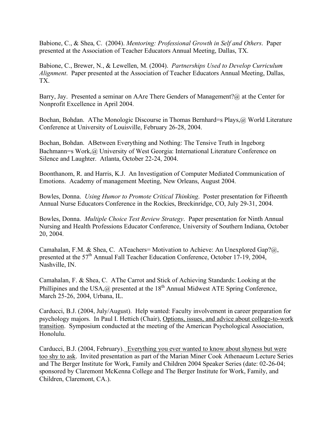Babione, C., & Shea, C. (2004). *Mentoring: Professional Growth in Self and Others*. Paper presented at the Association of Teacher Educators Annual Meeting, Dallas, TX.

Babione, C., Brewer, N., & Lewellen, M. (2004). *Partnerships Used to Develop Curriculum Alignment*. Paper presented at the Association of Teacher Educators Annual Meeting, Dallas, TX.

Barry, Jay. Presented a seminar on AAre There Genders of Management? (a) at the Center for Nonprofit Excellence in April 2004.

Bochan, Bohdan. AThe Monologic Discourse in Thomas Bernhard=s Plays,@ World Literature Conference at University of Louisville, February 26-28, 2004.

Bochan, Bohdan. ABetween Everything and Nothing: The Tensive Truth in Ingeborg Bachmann=s Work,@ University of West Georgia: International Literature Conference on Silence and Laughter. Atlanta, October 22-24, 2004.

Boonthanom, R. and Harris, K.J. An Investigation of Computer Mediated Communication of Emotions. Academy of management Meeting, New Orleans, August 2004.

Bowles, Donna. *Using Humor to Promote Critical Thinking*. Poster presentation for Fifteenth Annual Nurse Educators Conference in the Rockies, Breckinridge, CO, July 29-31, 2004.

Bowles, Donna. *Multiple Choice Test Review Strategy*. Paper presentation for Ninth Annual Nursing and Health Professions Educator Conference, University of Southern Indiana, October 20, 2004.

Camahalan, F.M. & Shea, C. ATeachers= Motivation to Achieve: An Unexplored Gap?@, presented at the 57<sup>th</sup> Annual Fall Teacher Education Conference, October 17-19, 2004, Nashville, IN.

Camahalan, F. & Shea, C. AThe Carrot and Stick of Achieving Standards: Looking at the Phillipines and the USA,  $\hat{\omega}$  presented at the 18<sup>th</sup> Annual Midwest ATE Spring Conference, March 25-26, 2004, Urbana, IL.

Carducci, B.J. (2004, July/August). Help wanted: Faculty involvement in career preparation for psychology majors. In Paul I. Hettich (Chair), Options, issues, and advice about college-to-work transition. Symposium conducted at the meeting of the American Psychological Association, Honolulu.

Carducci, B.J. (2004, February). Everything you ever wanted to know about shyness but were too shy to ask. Invited presentation as part of the Marian Miner Cook Athenaeum Lecture Series and The Berger Institute for Work, Family and Children 2004 Speaker Series (date: 02-26-04; sponsored by Claremont McKenna College and The Berger Institute for Work, Family, and Children, Claremont, CA.).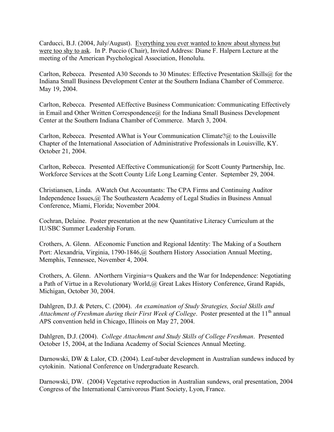Carducci, B.J. (2004, July/August). Everything you ever wanted to know about shyness but were too shy to ask. In P. Puccio (Chair), Invited Address: Diane F. Halpern Lecture at the meeting of the American Psychological Association, Honolulu.

Carlton, Rebecca. Presented A30 Seconds to 30 Minutes: Effective Presentation Skills@ for the Indiana Small Business Development Center at the Southern Indiana Chamber of Commerce. May 19, 2004.

Carlton, Rebecca. Presented AEffective Business Communication: Communicating Effectively in Email and Other Written Correspondence $@$  for the Indiana Small Business Development Center at the Southern Indiana Chamber of Commerce. March 3, 2004.

Carlton, Rebecca. Presented AWhat is Your Communication Climate? $@$  to the Louisville Chapter of the International Association of Administrative Professionals in Louisville, KY. October 21, 2004.

Carlton, Rebecca. Presented AEffective Communication@ for Scott County Partnership, Inc. Workforce Services at the Scott County Life Long Learning Center. September 29, 2004.

Christiansen, Linda. AWatch Out Accountants: The CPA Firms and Continuing Auditor Independence Issues,@ The Southeastern Academy of Legal Studies in Business Annual Conference, Miami, Florida; November 2004.

Cochran, Delaine. Poster presentation at the new Quantitative Literacy Curriculum at the IU/SBC Summer Leadership Forum.

Crothers, A. Glenn. AEconomic Function and Regional Identity: The Making of a Southern Port: Alexandria, Virginia, 1790-1846,@ Southern History Association Annual Meeting, Memphis, Tennessee, November 4, 2004.

Crothers, A. Glenn. ANorthern Virginia=s Quakers and the War for Independence: Negotiating a Path of Virtue in a Revolutionary World,@ Great Lakes History Conference, Grand Rapids, Michigan, October 30, 2004.

Dahlgren, D.J. & Peters, C. (2004). *An examination of Study Strategies, Social Skills and Attachment of Freshman during their First Week of College*. Poster presented at the 11th annual APS convention held in Chicago, Illinois on May 27, 2004.

Dahlgren, D.J. (2004). *College Attachment and Study Skills of College Freshman*. Presented October 15, 2004, at the Indiana Academy of Social Sciences Annual Meeting.

Darnowski, DW & Lalor, CD. (2004). Leaf-tuber development in Australian sundews induced by cytokinin. National Conference on Undergraduate Research.

Darnowski, DW. (2004) Vegetative reproduction in Australian sundews, oral presentation, 2004 Congress of the International Carnivorous Plant Society, Lyon, France.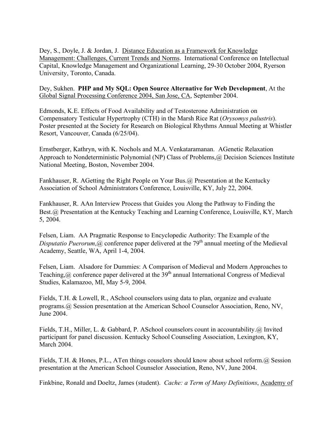Dey, S., Doyle, J. & Jordan, J. Distance Education as a Framework for Knowledge Management: Challenges, Current Trends and Norms. International Conference on Intellectual Capital, Knowledge Management and Organizational Learning, 29-30 October 2004, Ryerson University, Toronto, Canada.

Dey, Sukhen. **PHP and My SQL: Open Source Alternative for Web Development**, At the Global Signal Processing Conference 2004, San Jose, CA, September 2004.

Edmonds, K.E. Effects of Food Availability and of Testosterone Administration on Compensatory Testicular Hypertrophy (CTH) in the Marsh Rice Rat (*Orysomys palustris*). Poster presented at the Society for Research on Biological Rhythms Annual Meeting at Whistler Resort, Vancouver, Canada (6/25/04).

Ernstberger, Kathryn, with K. Nochols and M.A. Venkataramanan. AGenetic Relaxation Approach to Nondeterministic Polynomial (NP) Class of Problems, @ Decision Sciences Institute National Meeting, Boston, November 2004.

Fankhauser, R. AGetting the Right People on Your Bus.@ Presentation at the Kentucky Association of School Administrators Conference, Louisville, KY, July 22, 2004.

Fankhauser, R. AAn Interview Process that Guides you Along the Pathway to Finding the Best.@ Presentation at the Kentucky Teaching and Learning Conference, Louisville, KY, March 5, 2004.

Felsen, Liam. AA Pragmatic Response to Encyclopedic Authority: The Example of the *Disputatio Puerorum, @* conference paper delivered at the  $79<sup>th</sup>$  annual meeting of the Medieval Academy, Seattle, WA, April 1-4, 2004.

Felsen, Liam. AIsadore for Dummies: A Comparison of Medieval and Modern Approaches to Teaching,  $\omega$  conference paper delivered at the 39<sup>th</sup> annual International Congress of Medieval Studies, Kalamazoo, MI, May 5-9, 2004.

Fields, T.H. & Lowell, R., ASchool counselors using data to plan, organize and evaluate programs.@ Session presentation at the American School Counselor Association, Reno, NV, June 2004.

Fields, T.H., Miller, L. & Gabbard, P. ASchool counselors count in accountability.@ Invited participant for panel discussion. Kentucky School Counseling Association, Lexington, KY, March 2004.

Fields, T.H. & Hones, P.L., ATen things couselors should know about school reform.@ Session presentation at the American School Counselor Association, Reno, NV, June 2004.

Finkbine, Ronald and Doeltz, James (student). *Cache: a Term of Many Definitions*, Academy of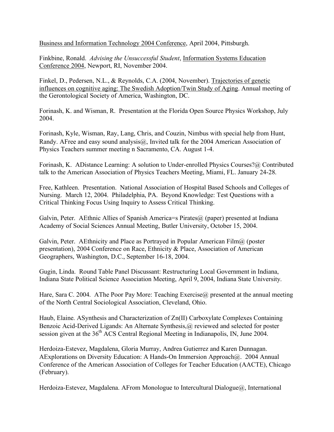Business and Information Technology 2004 Conference, April 2004, Pittsburgh.

Finkbine, Ronald. *Advising the Unsuccessful Student*, Information Systems Education Conference 2004, Newport, RI, November 2004.

Finkel, D., Pedersen, N.L., & Reynolds, C.A. (2004, November). Trajectories of genetic influences on cognitive aging: The Swedish Adoption/Twin Study of Aging. Annual meeting of the Gerontological Society of America, Washington, DC.

Forinash, K. and Wisman, R. Presentation at the Florida Open Source Physics Workshop, July 2004.

Forinash, Kyle, Wisman, Ray, Lang, Chris, and Couzin, Nimbus with special help from Hunt, Randy. AFree and easy sound analysis@, Invited talk for the 2004 American Association of Physics Teachers summer meeting n Sacramento, CA. August 1-4.

Forinash, K. ADistance Learning: A solution to Under-enrolled Physics Courses?@ Contributed talk to the American Association of Physics Teachers Meeting, Miami, FL. January 24-28.

Free, Kathleen. Presentation. National Association of Hospital Based Schools and Colleges of Nursing. March 12, 2004. Philadelphia, PA. Beyond Knowledge: Test Questions with a Critical Thinking Focus Using Inquiry to Assess Critical Thinking.

Galvin, Peter. AEthnic Allies of Spanish America=s Pirates $\omega$  (paper) presented at Indiana Academy of Social Sciences Annual Meeting, Butler University, October 15, 2004.

Galvin, Peter. AEthnicity and Place as Portrayed in Popular American Film $\omega$  (poster presentation), 2004 Conference on Race, Ethnicity & Place, Association of American Geographers, Washington, D.C., September 16-18, 2004.

Gugin, Linda. Round Table Panel Discussant: Restructuring Local Government in Indiana, Indiana State Political Science Association Meeting, April 9, 2004, Indiana State University.

Hare, Sara C. 2004. AThe Poor Pay More: Teaching Exercise@ presented at the annual meeting of the North Central Sociological Association, Cleveland, Ohio.

Haub, Elaine. ASynthesis and Characterization of Zn(II) Carboxylate Complexes Containing Benzoic Acid-Derived Ligands: An Alternate Synthesis,@ reviewed and selected for poster session given at the  $36<sup>th</sup>$  ACS Central Regional Meeting in Indianapolis, IN, June 2004.

Herdoiza-Estevez, Magdalena, Gloria Murray, Andrea Gutierrez and Karen Dunnagan. AExplorations on Diversity Education: A Hands-On Immersion Approach@. 2004 Annual Conference of the American Association of Colleges for Teacher Education (AACTE), Chicago (February).

Herdoiza-Estevez, Magdalena. AFrom Monologue to Intercultural Dialogue@, International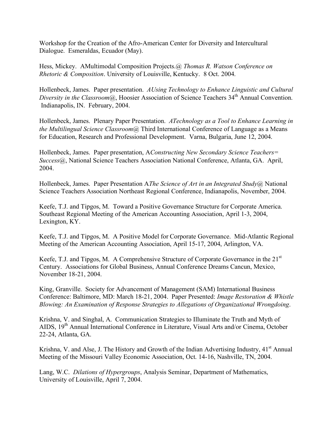Workshop for the Creation of the Afro-American Center for Diversity and Intercultural Dialogue. Esmeraldas, Ecuador (May).

Hess, Mickey. AMultimodal Composition Projects.@ *Thomas R. Watson Conference on Rhetoric & Composition*. University of Louisville, Kentucky. 8 Oct. 2004.

Hollenbeck, James. Paper presentation. *AUsing Technology to Enhance Linguistic and Cultural Diversity in the Classroom*<sup>@</sup>, Hoosier Association of Science Teachers 34<sup>th</sup> Annual Convention. Indianapolis, IN. February, 2004.

Hollenbeck, James. Plenary Paper Presentation. *ATechnology as a Tool to Enhance Learning in the Multilingual Science Classroom*@ Third International Conference of Language as a Means for Education, Research and Professional Development. Varna, Bulgaria, June 12, 2004.

Hollenbeck, James. Paper presentation, A*Constructing New Secondary Science Teachers= Success*@, National Science Teachers Association National Conference, Atlanta, GA. April, 2004.

Hollenbeck, James. Paper Presentation A*The Science of Art in an Integrated Study*@ National Science Teachers Association Northeast Regional Conference, Indianapolis, November, 2004.

Keefe, T.J. and Tipgos, M. Toward a Positive Governance Structure for Corporate America. Southeast Regional Meeting of the American Accounting Association, April 1-3, 2004, Lexington, KY.

Keefe, T.J. and Tipgos, M. A Positive Model for Corporate Governance. Mid-Atlantic Regional Meeting of the American Accounting Association, April 15-17, 2004, Arlington, VA.

Keefe, T.J. and Tipgos, M. A Comprehensive Structure of Corporate Governance in the 21<sup>st</sup> Century. Associations for Global Business, Annual Conference Dreams Cancun, Mexico, November 18-21, 2004.

King, Granville. Society for Advancement of Management (SAM) International Business Conference: Baltimore, MD: March 18-21, 2004. Paper Presented: *Image Restoration & Whistle Blowing: An Examination of Response Strategies to Allegations of Organizational Wrongdoing*.

Krishna, V. and Singhal, A. Communication Strategies to Illuminate the Truth and Myth of AIDS, 19<sup>th</sup> Annual International Conference in Literature, Visual Arts and/or Cinema, October 22-24, Atlanta, GA.

Krishna, V. and Alse, J. The History and Growth of the Indian Advertising Industry, 41<sup>st</sup> Annual Meeting of the Missouri Valley Economic Association, Oct. 14-16, Nashville, TN, 2004.

Lang, W.C. *Dilations of Hypergroups*, Analysis Seminar, Department of Mathematics, University of Louisville, April 7, 2004.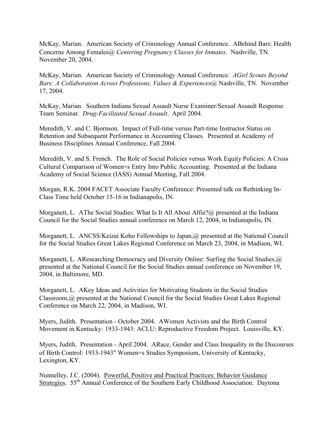McKay, Marian. American Society of Criminology Annual Conference. ABehind Bars: Health Concerns Among Females@ *Centering Pregnancy Classes for Inmates*. Nashville, TN. November 20, 2004.

McKay, Marian. American Society of Criminology Annual Conference. *AGirl Scouts Beyond Bars: A Collaboration Across Professions, Values & Experiences@* Nashville, TN. November 17, 2004.

McKay, Marian. Southern Indiana Sexual Assault Nurse Examiner/Sexual Assault Response Team Seminar. *Drug-Facilitated Sexual Assault*. April 2004.

Meredith, V. and C. Bjornson. Impact of Full-time versus Part-time Instructor Status on Retention and Subsequent Performance in Accounting Classes. Presented at Academy of Business Disciplines Annual Conference, Fall 2004.

Meredith, V. and S. French. The Role of Social Policies versus Work Equity Policies: A Cross Cultural Comparison of Women=s Entry Into Public Accounting. Presented at the Indiana Academy of Social Science (IASS) Annual Meeting, Fall 2004.

Morgan, R.K. 2004 FACET Associate Faculty Conference: Presented talk on Rethinking In-Class Time held October 15-16 in Indianapolis, IN.

Morganett, L. AThe Social Studies: What Is It All About Alfie?@ presented at the Indiana Council for the Social Studies annual conference on March 12, 2004, in Indianapolis, IN.

Morganett, L. ANCSS/Keizai Koho Fellowships to Japan,@ presented at the National Council for the Social Studies Great Lakes Regional Conference on March 23, 2004, in Madison, WI.

Morganett, L. AResearching Democracy and Diversity Online: Surfing the Social Studies,@ presented at the National Council for the Social Studies annual conference on November 19, 2004, in Baltimore, MD.

Morganett, L. AKey Ideas and Activities for Motivating Students in the Social Studies Classroom,@ presented at the National Council for the Social Studies Great Lakes Regional Conference on March 22, 2004, in Madison, WI.

Myers, Judith. Presentation - October 2004. AWomen Activists and the Birth Control Movement in Kentucky: 1933-1943: ACLU: Reproductive Freedom Project. Louisville, KY.

Myers, Judith. Presentation - April 2004. ARace, Gender and Class Inequality in the Discourses of Birth Control: 1933-1943" Women=s Studies Symposium, University of Kentucky, Lexington, KY.

Nunnelley, J.C. (2004). Powerful, Positive and Practical Practices: Behavior Guidance Strategies. 55<sup>th</sup> Annual Conference of the Southern Early Childhood Association. Daytona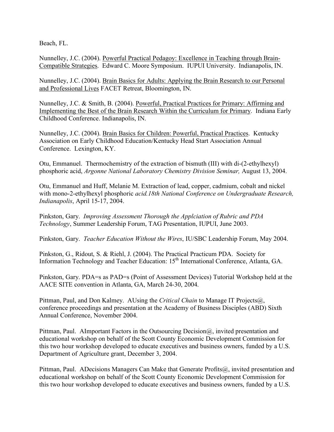Beach, FL.

Nunnelley, J.C. (2004). Powerful Practical Pedagoy: Excellence in Teaching through Brain-Compatible Strategies. Edward C. Moore Symposium. IUPUI University. Indianapolis, IN.

Nunnelley, J.C. (2004). Brain Basics for Adults: Applying the Brain Research to our Personal and Professional Lives FACET Retreat, Bloomington, IN.

Nunnelley, J.C. & Smith, B. (2004). Powerful, Practical Practices for Primary: Affirming and Implementing the Best of the Brain Research Within the Curriculum for Primary. Indiana Early Childhood Conference. Indianapolis, IN.

Nunnelley, J.C. (2004). Brain Basics for Children: Powerful, Practical Practices. Kentucky Association on Early Childhood Education/Kentucky Head Start Association Annual Conference. Lexington, KY.

Otu, Emmanuel. Thermochemistry of the extraction of bismuth (III) with di-(2-ethylhexyl) phosphoric acid, *Argonne National Laboratory Chemistry Division Seminar,* August 13, 2004.

Otu, Emmanuel and Huff, Melanie M. Extraction of lead, copper, cadmium, cobalt and nickel with mono-2-ethylhexyl phosphoric *acid.18th National Conference on Undergraduate Research, Indianapolis*, April 15-17, 2004.

Pinkston, Gary. *Improving Assessment Thorough the Applciation of Rubric and PDA Technology*, Summer Leadership Forum, TAG Presentation, IUPUI, June 2003.

Pinkston, Gary. *Teacher Education Without the Wires*, IU/SBC Leadership Forum, May 2004.

Pinkston, G., Ridout, S. & Riehl, J. (2004). The Practical Practicum PDA. Society for Information Technology and Teacher Education: 15<sup>th</sup> International Conference, Atlanta, GA.

Pinkston, Gary. PDA=s as PAD=s (Point of Assessment Devices) Tutorial Workshop held at the AACE SITE convention in Atlanta, GA, March 24-30, 2004.

Pittman, Paul, and Don Kalmey. AUsing the *Critical Chain* to Manage IT Projects@, conference proceedings and presentation at the Academy of Business Disciples (ABD) Sixth Annual Conference, November 2004.

Pittman, Paul. AImportant Factors in the Outsourcing Decision@, invited presentation and educational workshop on behalf of the Scott County Economic Development Commission for this two hour workshop developed to educate executives and business owners, funded by a U.S. Department of Agriculture grant, December 3, 2004.

Pittman, Paul. ADecisions Managers Can Make that Generate Profits@, invited presentation and educational workshop on behalf of the Scott County Economic Development Commission for this two hour workshop developed to educate executives and business owners, funded by a U.S.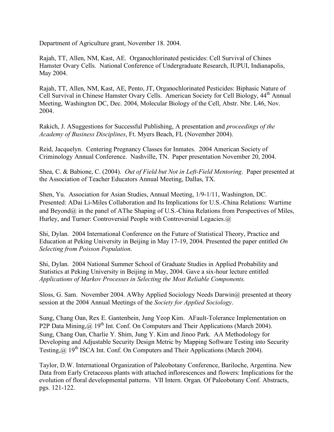Department of Agriculture grant, November 18. 2004.

Rajah, TT, Allen, NM, Kast, AE. Organochlorinated pesticides: Cell Survival of Chines Hamster Ovary Cells. National Conference of Undergraduate Research, IUPUI, Indianapolis, May 2004.

Rajah, TT, Allen, NM, Kast, AE, Pento, JT, Organochlorinated Pesticides: Biphasic Nature of Cell Survival in Chinese Hamster Ovary Cells. American Society for Cell Biology,  $44<sup>th</sup>$  Annual Meeting, Washington DC, Dec. 2004, Molecular Biology of the Cell, Abstr. Nbr. L46, Nov. 2004.

Rakich, J. ASuggestions for Successful Publishing, A presentation and *proceedings of the Academy of Business Disciplines*, Ft. Myers Beach, FL (November 2004).

Reid, Jacquelyn. Centering Pregnancy Classes for Inmates. 2004 American Society of Criminology Annual Conference. Nashville, TN. Paper presentation November 20, 2004.

Shea, C. & Babione, C. (2004). *Out of Field but Not in Left-Field Mentoring*. Paper presented at the Association of Teacher Educators Annual Meeting, Dallas, TX.

Shen, Yu. Association for Asian Studies, Annual Meeting, 1/9-1/11, Washington, DC. Presented: ADai Li-Miles Collaboration and Its Implications for U.S.-China Relations: Wartime and Beyond@ in the panel of AThe Shaping of U.S.-China Relations from Perspectives of Miles, Hurley, and Turner: Controversial People with Controversial Legacies.@

Shi, Dylan. 2004 International Conference on the Future of Statistical Theory, Practice and Education at Peking University in Beijing in May 17-19, 2004. Presented the paper entitled *On Selecting from Poisson Population*.

Shi, Dylan. 2004 National Summer School of Graduate Studies in Applied Probability and Statistics at Peking University in Beijing in May, 2004. Gave a six-hour lecture entitled *Applications of Markov Processes in Selecting the Most Reliable Components.*

Sloss, G. Sam. November 2004. AWhy Applied Sociology Needs Darwin@ presented at theory session at the 2004 Annual Meetings of the *Society for Applied Sociology*.

Sung, Chang Oan, Rex E. Gantenbein, Jung Yeop Kim. AFault-Tolerance Implementation on P2P Data Mining, @ 19<sup>th</sup> Int. Conf. On Computers and Their Applications (March 2004). Sung, Chang Oan, Charlie Y. Shim, Jung Y. Kim and Jinoo Park. AA Methodology for Developing and Adjustable Security Design Metric by Mapping Software Testing into Security Testing, @ 19<sup>th</sup> ISCA Int. Conf. On Computers and Their Applications (March 2004).

Taylor, D.W. International Organization of Paleobotany Conference, Bariloche, Argentina. New Data from Early Cretaceous plants with attached inflorescences and flowers: Implications for the evolution of floral developmental patterns. VII Intern. Organ. Of Paleobotany Conf. Abstracts, pgs. 121-122.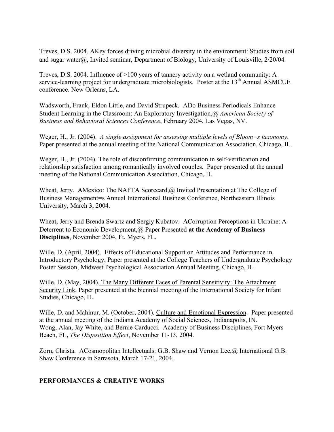Treves, D.S. 2004. AKey forces driving microbial diversity in the environment: Studies from soil and sugar water@, Invited seminar, Department of Biology, University of Louisville, 2/20/04.

Treves, D.S. 2004. Influence of >100 years of tannery activity on a wetland community: A service-learning project for undergraduate microbiologists. Poster at the  $13<sup>th</sup>$  Annual ASMCUE conference. New Orleans, LA.

Wadsworth, Frank, Eldon Little, and David Strupeck. ADo Business Periodicals Enhance Student Learning in the Classroom: An Exploratory Investigation,@ *American Society of Business and Behavioral Sciences Conference*, February 2004, Las Vegas, NV.

Weger, H., Jr. (2004). *A single assignment for assessing multiple levels of Bloom=s taxonomy*. Paper presented at the annual meeting of the National Communication Association, Chicago, IL.

Weger, H., Jr. (2004). The role of disconfirming communication in self-verification and relationship satisfaction among romantically involved couples. Paper presented at the annual meeting of the National Communication Association, Chicago, IL.

Wheat, Jerry. AMexico: The NAFTA Scorecard,@ Invited Presentation at The College of Business Management=s Annual International Business Conference, Northeastern Illinois University, March 3, 2004.

Wheat, Jerry and Brenda Swartz and Sergiy Kubatov. ACorruption Perceptions in Ukraine: A Deterrent to Economic Development,@ Paper Presented **at the Academy of Business Disciplines**, November 2004, Ft. Myers, FL.

Wille, D. (April, 2004). Effects of Educational Support on Attitudes and Performance in Introductory Psychology, Paper presented at the College Teachers of Undergraduate Psychology Poster Session, Midwest Psychological Association Annual Meeting, Chicago, IL.

Wille, D. (May, 2004). The Many Different Faces of Parental Sensitivity: The Attachment Security Link, Paper presented at the biennial meeting of the International Society for Infant Studies, Chicago, IL

Wille, D. and Mahinur, M. (October, 2004). Culture and Emotional Expression. Paper presented at the annual meeting of the Indiana Academy of Social Sciences, Indianapolis, IN. Wong, Alan, Jay White, and Bernie Carducci. Academy of Business Disciplines, Fort Myers Beach, FL, *The Disposition Effect*, November 11-13, 2004.

Zorn, Christa. ACosmopolitan Intellectuals: G.B. Shaw and Vernon Lee,@ International G.B. Shaw Conference in Sarrasota, March 17-21, 2004.

### **PERFORMANCES & CREATIVE WORKS**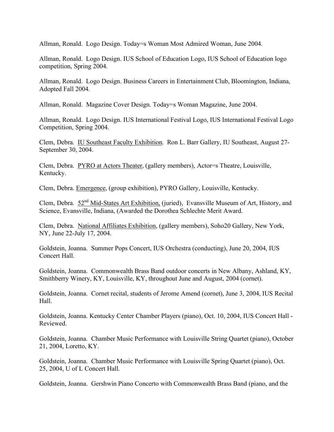Allman, Ronald. Logo Design. Today=s Woman Most Admired Woman, June 2004.

Allman, Ronald. Logo Design. IUS School of Education Logo, IUS School of Education logo competition, Spring 2004.

Allman, Ronald. Logo Design. Business Careers in Entertainment Club, Bloomington, Indiana, Adopted Fall 2004.

Allman, Ronald. Magazine Cover Design. Today=s Woman Magazine, June 2004.

Allman, Ronald. Logo Design. IUS International Festival Logo, IUS International Festival Logo Competition, Spring 2004.

Clem, Debra. IU Southeast Faculty Exhibition. Ron L. Barr Gallery, IU Southeast, August 27- September 30, 2004.

Clem, Debra. PYRO at Actors Theater, (gallery members), Actor=s Theatre, Louisville, Kentucky.

Clem, Debra. Emergence, (group exhibition), PYRO Gallery, Louisville, Kentucky.

Clem, Debra. 52nd Mid-States Art Exhibition, (juried), Evansville Museum of Art, History, and Science, Evansville, Indiana, (Awarded the Dorothea Schlechte Merit Award.

Clem, Debra. National Affiliates Exhibition, (gallery members), Soho20 Gallery, New York, NY, June 22-July 17, 2004.

Goldstein, Joanna. Summer Pops Concert, IUS Orchestra (conducting), June 20, 2004, IUS Concert Hall.

Goldstein, Joanna. Commonwealth Brass Band outdoor concerts in New Albany, Ashland, KY, Smithberry Winery, KY, Louisville, KY, throughout June and August, 2004 (cornet).

Goldstein, Joanna. Cornet recital, students of Jerome Amend (cornet), June 3, 2004, IUS Recital Hall.

Goldstein, Joanna. Kentucky Center Chamber Players (piano), Oct. 10, 2004, IUS Concert Hall - Reviewed.

Goldstein, Joanna. Chamber Music Performance with Louisville String Quartet (piano), October 21, 2004, Loretto, KY.

Goldstein, Joanna. Chamber Music Performance with Louisville Spring Quartet (piano), Oct. 25, 2004, U of L Concert Hall.

Goldstein, Joanna. Gershwin Piano Concerto with Commonwealth Brass Band (piano, and the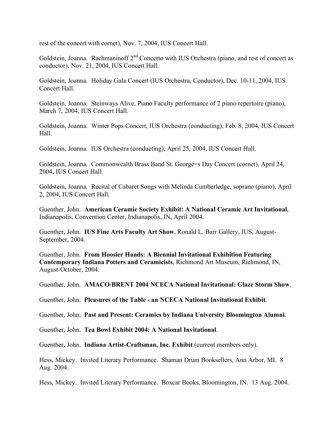rest of the concert with cornet), Nov. 7, 2004, IUS Concert Hall.

Goldstein, Joanna. Rachmaninoff  $2<sup>nd</sup>$  Concerto with IUS Orchestra (piano, and rest of concert as conductor), Nov. 21, 2004, IUS Concert Hall.

Goldstein, Joanna. Holiday Gala Concert (IUS Orchestra, Conductor), Dec. 10-11, 2004, IUS Concert Hall.

Goldstein, Joanna. Steinways Alive, Piano Faculty performance of 2 piano repertoire (piano), March 7, 2004, IUS Concert Hall.

Goldstein, Joanna. Winter Pops Concert, IUS Orchestra (conducting), Feb. 8, 2004, IUS Concert Hall.

Goldstein, Joanna. IUS Orchestra (conducting), April 25, 2004, IUS Concert Hall.

Goldstein, Joanna. Commonwealth Brass Band St. George=s Day Concert (cornet), April 24, 2004, IUS Concert Hall.

Goldstein, Joanna. Recital of Cabaret Songs with Melinda Cumberledge, soprano (piano), April 2, 2004, IUS Concert Hall.

Guenther, John. **American Ceramic Society Exhibit: A National Ceramic Art Invitational**, Indianapolis, Convention Center, Indianapolis, IN, April 2004.

Guenther, John. **IUS Fine Arts Faculty Art Show**, Ronald L. Barr Gallery, IUS, August-September, 2004.

Guenther, John. **From Hoosier Hands: A Biennial Invitational Exhibition Featuring Contemporary Indiana Potters and Ceramicists**, Richmond Art Museum, Richmond, IN, August-October, 2004.

Guenther, John. **AMACO/BRENT 2004 NCECA National Invitational: Glaze Storm Show**.

Guenther, John. **Pleasures of the Table - an NCECA National Invitational Exhibit**.

Guenther, John. **Past and Present: Ceramics by Indiana University Bloomington Alumni**.

Guenther, John. **Tea Bowl Exhibit 2004: A National Invitational**.

Guenther, John. **Indiana Artist-Craftsman, Inc. Exhibit** (current members only).

Hess, Mickey. Invited Literary Performance. Shaman Drum Booksellers, Ann Arbor, MI. 8 Aug. 2004.

Hess, Mickey. Invited Literary Performance. Boxcar Books, Bloomington, IN. 13 Aug. 2004.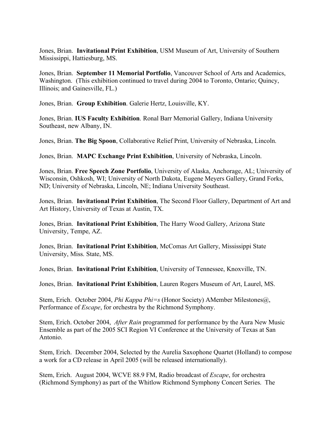Jones, Brian. **Invitational Print Exhibition**, USM Museum of Art, University of Southern Mississippi, Hattiesburg, MS.

Jones, Brian. **September 11 Memorial Portfolio**, Vancouver School of Arts and Academics, Washington. (This exhibition continued to travel during 2004 to Toronto, Ontario; Quincy, Illinois; and Gainesville, FL.)

Jones, Brian. **Group Exhibition**. Galerie Hertz, Louisville, KY.

Jones, Brian. **IUS Faculty Exhibition**. Ronal Barr Memorial Gallery, Indiana University Southeast, new Albany, IN.

Jones, Brian. **The Big Spoon**, Collaborative Relief Print, University of Nebraska, Lincoln.

Jones, Brian. **MAPC Exchange Print Exhibition**, University of Nebraska, Lincoln.

Jones, Brian. **Free Speech Zone Portfolio**, University of Alaska, Anchorage, AL; University of Wisconsin, Oshkosh, WI; University of North Dakota, Eugene Meyers Gallery, Grand Forks, ND; University of Nebraska, Lincoln, NE; Indiana University Southeast.

Jones, Brian. **Invitational Print Exhibition**, The Second Floor Gallery, Department of Art and Art History, University of Texas at Austin, TX.

Jones, Brian. **Invitational Print Exhibition**, The Harry Wood Gallery, Arizona State University, Tempe, AZ.

Jones, Brian. **Invitational Print Exhibition**, McComas Art Gallery, Mississippi State University, Miss. State, MS.

Jones, Brian. **Invitational Print Exhibition**, University of Tennessee, Knoxville, TN.

Jones, Brian. **Invitational Print Exhibition**, Lauren Rogers Museum of Art, Laurel, MS.

Stem, Erich. October 2004, *Phi Kappa Phi=s* (Honor Society) AMember Milestones@, Performance of *Escape*, for orchestra by the Richmond Symphony.

Stem, Erich. October 2004, *After Rain* programmed for performance by the Aura New Music Ensemble as part of the 2005 SCI Region VI Conference at the University of Texas at San Antonio.

Stem, Erich. December 2004, Selected by the Aurelia Saxophone Quartet (Holland) to compose a work for a CD release in April 2005 (will be released internationally).

Stem, Erich. August 2004, WCVE 88.9 FM, Radio broadcast of *Escape*, for orchestra (Richmond Symphony) as part of the Whitlow Richmond Symphony Concert Series. The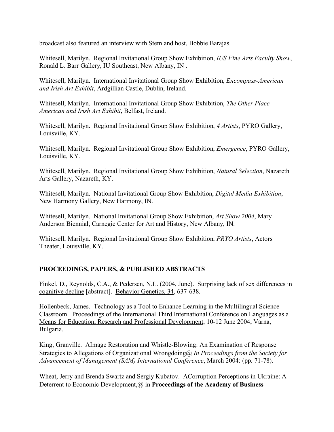broadcast also featured an interview with Stem and host, Bobbie Barajas.

Whitesell, Marilyn. Regional Invitational Group Show Exhibition, *IUS Fine Arts Faculty Show*, Ronald L. Barr Gallery, IU Southeast, New Albany, IN .

Whitesell, Marilyn. International Invitational Group Show Exhibition, *Encompass-American and Irish Art Exhibit*, Ardgillian Castle, Dublin, Ireland.

Whitesell, Marilyn. International Invitational Group Show Exhibition, *The Other Place - American and Irish Art Exhibit*, Belfast, Ireland.

Whitesell, Marilyn. Regional Invitational Group Show Exhibition, *4 Artists*, PYRO Gallery, Louisville, KY.

Whitesell, Marilyn. Regional Invitational Group Show Exhibition, *Emergence*, PYRO Gallery, Louisville, KY.

Whitesell, Marilyn. Regional Invitational Group Show Exhibition, *Natural Selection*, Nazareth Arts Gallery, Nazareth, KY.

Whitesell, Marilyn. National Invitational Group Show Exhibition, *Digital Media Exhibition*, New Harmony Gallery, New Harmony, IN.

Whitesell, Marilyn. National Invitational Group Show Exhibition, *Art Show 2004*, Mary Anderson Biennial, Carnegie Center for Art and History, New Albany, IN.

Whitesell, Marilyn. Regional Invitational Group Show Exhibition, *PRYO Artists*, Actors Theater, Louisville, KY.

## **PROCEEDINGS, PAPERS, & PUBLISHED ABSTRACTS**

Finkel, D., Reynolds, C.A., & Pedersen, N.L. (2004, June). Surprising lack of sex differences in cognitive decline [abstract]. Behavior Genetics, 34, 637-638.

Hollenbeck, James. Technology as a Tool to Enhance Learning in the Multilingual Science Classroom. Proceedings of the International Third International Conference on Languages as a Means for Education, Research and Professional Development, 10-12 June 2004, Varna, Bulgaria.

King, Granville. AImage Restoration and Whistle-Blowing: An Examination of Response Strategies to Allegations of Organizational Wrongdoing@ *In Proceedings from the Society for Advancement of Management (SAM) International Conference*, March 2004: (pp. 71-78).

Wheat, Jerry and Brenda Swartz and Sergiy Kubatov. ACorruption Perceptions in Ukraine: A Deterrent to Economic Development,@ in **Proceedings of the Academy of Business**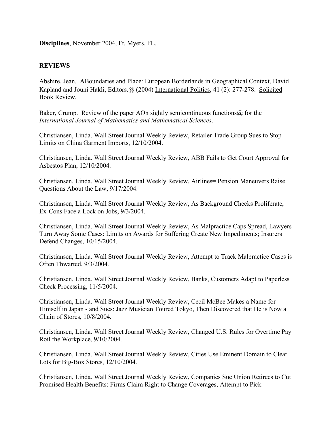**Disciplines**, November 2004, Ft. Myers, FL.

#### **REVIEWS**

Abshire, Jean. ABoundaries and Place: European Borderlands in Geographical Context, David Kapland and Jouni Hakli, Editors. (a) (2004) International Politics, 41 (2): 277-278. Solicited Book Review.

Baker, Crump. Review of the paper AOn sightly semicontinuous functions  $\omega$  for the *International Journal of Mathematics and Mathematical Sciences*.

Christiansen, Linda. Wall Street Journal Weekly Review, Retailer Trade Group Sues to Stop Limits on China Garment Imports, 12/10/2004.

Christiansen, Linda. Wall Street Journal Weekly Review, ABB Fails to Get Court Approval for Asbestos Plan, 12/10/2004.

Christiansen, Linda. Wall Street Journal Weekly Review, Airlines= Pension Maneuvers Raise Questions About the Law, 9/17/2004.

Christiansen, Linda. Wall Street Journal Weekly Review, As Background Checks Proliferate, Ex-Cons Face a Lock on Jobs, 9/3/2004.

Christiansen, Linda. Wall Street Journal Weekly Review, As Malpractice Caps Spread, Lawyers Turn Away Some Cases: Limits on Awards for Suffering Create New Impediments; Insurers Defend Changes, 10/15/2004.

Christiansen, Linda. Wall Street Journal Weekly Review, Attempt to Track Malpractice Cases is Often Thwarted, 9/3/2004.

Christiansen, Linda. Wall Street Journal Weekly Review, Banks, Customers Adapt to Paperless Check Processing, 11/5/2004.

Christiansen, Linda. Wall Street Journal Weekly Review, Cecil McBee Makes a Name for Himself in Japan - and Sues: Jazz Musician Toured Tokyo, Then Discovered that He is Now a Chain of Stores, 10/8/2004.

Christiansen, Linda. Wall Street Journal Weekly Review, Changed U.S. Rules for Overtime Pay Roil the Workplace, 9/10/2004.

Christiansen, Linda. Wall Street Journal Weekly Review, Cities Use Eminent Domain to Clear Lots for Big-Box Stores, 12/10/2004.

Christiansen, Linda. Wall Street Journal Weekly Review, Companies Sue Union Retirees to Cut Promised Health Benefits: Firms Claim Right to Change Coverages, Attempt to Pick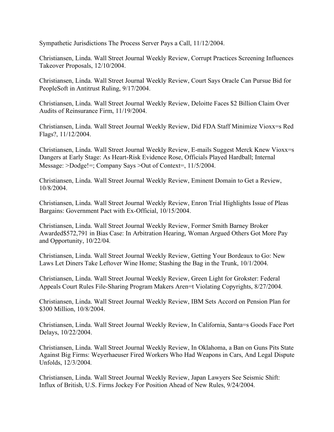Sympathetic Jurisdictions The Process Server Pays a Call, 11/12/2004.

Christiansen, Linda. Wall Street Journal Weekly Review, Corrupt Practices Screening Influences Takeover Proposals, 12/10/2004.

Christiansen, Linda. Wall Street Journal Weekly Review, Court Says Oracle Can Pursue Bid for PeopleSoft in Antitrust Ruling, 9/17/2004.

Christiansen, Linda. Wall Street Journal Weekly Review, Deloitte Faces \$2 Billion Claim Over Audits of Reinsurance Firm, 11/19/2004.

Christiansen, Linda. Wall Street Journal Weekly Review, Did FDA Staff Minimize Vioxx=s Red Flags?, 11/12/2004.

Christiansen, Linda. Wall Street Journal Weekly Review, E-mails Suggest Merck Knew Vioxx=s Dangers at Early Stage: As Heart-Risk Evidence Rose, Officials Played Hardball; Internal Message: >Dodge!=; Company Says >Out of Context=, 11/5/2004.

Christiansen, Linda. Wall Street Journal Weekly Review, Eminent Domain to Get a Review, 10/8/2004.

Christiansen, Linda. Wall Street Journal Weekly Review, Enron Trial Highlights Issue of Pleas Bargains: Government Pact with Ex-Official, 10/15/2004.

Christiansen, Linda. Wall Street Journal Weekly Review, Former Smith Barney Broker Awarded\$572,791 in Bias Case: In Arbitration Hearing, Woman Argued Others Got More Pay and Opportunity, 10/22/04.

Christiansen, Linda. Wall Street Journal Weekly Review, Getting Your Bordeaux to Go: New Laws Let Diners Take Leftover Wine Home; Stashing the Bag in the Trunk, 10/1/2004.

Christiansen, Linda. Wall Street Journal Weekly Review, Green Light for Grokster: Federal Appeals Court Rules File-Sharing Program Makers Aren=t Violating Copyrights, 8/27/2004.

Christiansen, Linda. Wall Street Journal Weekly Review, IBM Sets Accord on Pension Plan for \$300 Million, 10/8/2004.

Christiansen, Linda. Wall Street Journal Weekly Review, In California, Santa=s Goods Face Port Delays, 10/22/2004.

Christiansen, Linda. Wall Street Journal Weekly Review, In Oklahoma, a Ban on Guns Pits State Against Big Firms: Weyerhaeuser Fired Workers Who Had Weapons in Cars, And Legal Dispute Unfolds, 12/3/2004.

Christiansen, Linda. Wall Street Journal Weekly Review, Japan Lawyers See Seismic Shift: Influx of British, U.S. Firms Jockey For Position Ahead of New Rules, 9/24/2004.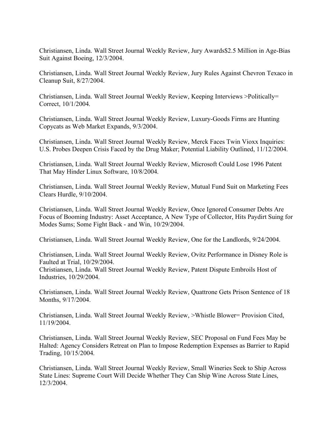Christiansen, Linda. Wall Street Journal Weekly Review, Jury Awards\$2.5 Million in Age-Bias Suit Against Boeing, 12/3/2004.

Christiansen, Linda. Wall Street Journal Weekly Review, Jury Rules Against Chevron Texaco in Cleanup Suit, 8/27/2004.

Christiansen, Linda. Wall Street Journal Weekly Review, Keeping Interviews >Politically= Correct, 10/1/2004.

Christiansen, Linda. Wall Street Journal Weekly Review, Luxury-Goods Firms are Hunting Copycats as Web Market Expands, 9/3/2004.

Christiansen, Linda. Wall Street Journal Weekly Review, Merck Faces Twin Vioxx Inquiries: U.S. Probes Deepen Crisis Faced by the Drug Maker; Potential Liability Outlined, 11/12/2004.

Christiansen, Linda. Wall Street Journal Weekly Review, Microsoft Could Lose 1996 Patent That May Hinder Linux Software, 10/8/2004.

Christiansen, Linda. Wall Street Journal Weekly Review, Mutual Fund Suit on Marketing Fees Clears Hurdle, 9/10/2004.

Christiansen, Linda. Wall Street Journal Weekly Review, Once Ignored Consumer Debts Are Focus of Booming Industry: Asset Acceptance, A New Type of Collector, Hits Paydirt Suing for Modes Sums; Some Fight Back - and Win, 10/29/2004.

Christiansen, Linda. Wall Street Journal Weekly Review, One for the Landlords, 9/24/2004.

Christiansen, Linda. Wall Street Journal Weekly Review, Ovitz Performance in Disney Role is Faulted at Trial, 10/29/2004.

Christiansen, Linda. Wall Street Journal Weekly Review, Patent Dispute Embroils Host of Industries, 10/29/2004.

Christiansen, Linda. Wall Street Journal Weekly Review, Quattrone Gets Prison Sentence of 18 Months, 9/17/2004.

Christiansen, Linda. Wall Street Journal Weekly Review, >Whistle Blower= Provision Cited, 11/19/2004.

Christiansen, Linda. Wall Street Journal Weekly Review, SEC Proposal on Fund Fees May be Halted: Agency Considers Retreat on Plan to Impose Redemption Expenses as Barrier to Rapid Trading, 10/15/2004.

Christiansen, Linda. Wall Street Journal Weekly Review, Small Wineries Seek to Ship Across State Lines: Supreme Court Will Decide Whether They Can Ship Wine Across State Lines, 12/3/2004.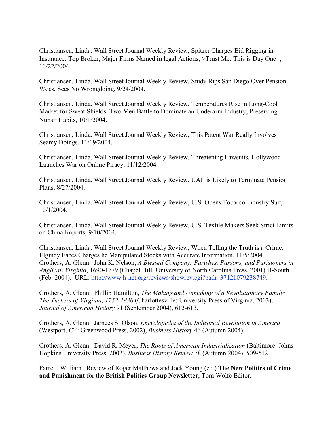Christiansen, Linda. Wall Street Journal Weekly Review, Spitzer Charges Bid Rigging in Insurance: Top Broker, Major Firms Named in legal Actions; >Trust Me: This is Day One=, 10/22/2004.

Christiansen, Linda. Wall Street Journal Weekly Review, Study Rips San Diego Over Pension Woes, Sees No Wrongdoing, 9/24/2004.

Christiansen, Linda. Wall Street Journal Weekly Review, Temperatures Rise in Long-Cool Market for Sweat Shields: Two Men Battle to Dominate an Underarm Industry; Preserving Nuns= Habits, 10/1/2004.

Christiansen, Linda. Wall Street Journal Weekly Review, This Patent War Really Involves Seamy Doings, 11/19/2004.

Christiansen, Linda. Wall Street Journal Weekly Review, Threatening Lawsuits, Hollywood Launches War on Online Piracy, 11/12/2004.

Christiansen, Linda. Wall Street Journal Weekly Review, UAL is Likely to Terminate Pension Plans, 8/27/2004.

Christiansen, Linda. Wall Street Journal Weekly Review, U.S. Opens Tobacco Industry Suit, 10/1/2004.

Christiansen, Linda. Wall Street Journal Weekly Review, U.S. Textile Makers Seek Strict Limits on China Imports, 9/10/2004.

Christiansen, Linda. Wall Street Journal Weekly Review, When Telling the Truth is a Crime: Elgindy Faces Charges he Manipulated Stocks with Accurate Information, 11/5/2004. Crothers, A. Glenn. John K. Nelson, *A Blessed Company: Parishes, Parsons, and Parisioners in Anglican Virginia*, 1690-1779 (Chapel Hill: University of North Carolina Press, 2001) H-South (Feb. 2004). URL: http://www.h-net.org/reviews/showrev.cgi?path=37121079238749.

Crothers, A. Glenn. Phillip Hamilton, *The Making and Unmaking of a Revolutionary Family: The Tuckers of Virginia, 1752-1830* (Charlottesville: University Press of Virginia, 2003), *Journal of American History* 91 (September 2004), 612-613.

Crothers, A. Glenn. Jamees S. Olson, *Encyclopedia of the Industrial Revolution in America* (Westport, CT: Greenwood Press, 2002), *Business History* 46 (Autumn 2004).

Crothers, A. Glenn. David R. Meyer, *The Roots of American Industrialization* (Baltimore: Johns Hopkins University Press, 2003), *Business History Review* 78 (Autumn 2004), 509-512.

Farrell, William. Review of Roger Matthews and Jock Young (ed.) **The New Politics of Crime and Punishment** for the **British Politics Group Newsletter**, Tom Wolfe Editor.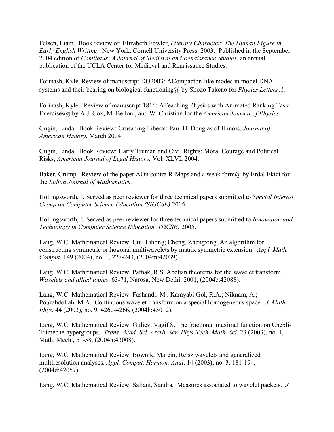Felsen, Liam. Book review of: Elizabeth Fowler, *Literary Character: The Human Figure in Early English Writing*. New York: Cornell University Press, 2003. Published in the September 2004 edition of *Comitatus: A Journal of Medieval and Renaissance Studies*, an annual publication of the UCLA Center for Medieval and Renaissance Studies.

Forinash, Kyle. Review of manuscript DO2003: ACompacton-like modes in model DNA systems and their bearing on biological functioning@ by Shozo Takeno for *Physics Letters A*.

Forinash, Kyle. Review of manuscript 1816: ATeaching Physics with Animated Ranking Task Exercises@ by A.J. Cox, M. Belloni, and W. Christian for the *American Journal of Physics*.

Gugin, Linda. Book Review: Crusading Liberal: Paul H. Douglas of Illinois, *Journal of American History*, March 2004.

Gugin, Linda. Book Review: Harry Truman and Civil Rights: Moral Courage and Political Risks, *American Journal of Legal History*, Vol. XLVI, 2004.

Baker, Crump. Review of the paper AOn contra R-Maps and a weak form  $\omega$  by Erdal Ekici for the *Indian Journal of Mathematics*.

Hollingsworth, J. Served as peer reviewer for three technical papers submitted to *Special Interest Group on Computer Science Education (SIGCSE)* 2005.

Hollingsworth, J. Served as peer reviewer for three technical papers submitted to *Innovation and Technology in Computer Science Education (ITiCSE)* 2005.

Lang, W.C. Mathematical Review: Cui, Lihong; Cheng, Zhengxing. An algorithm for constructing symmetric orthogonal multiwavelets by matrix symmetric extension. *Appl. Math. Comput.* 149 (2004), no. 1, 227-243, (2004m:42039).

Lang, W.C. Mathematical Review: Pathak, R.S. Abelian theorems for the wavelet transform. *Wavelets and allied topics*, 63-71, Narosa, New Delhi, 2001, (2004b:42088).

Lang, W.C. Mathematical Review: Fashandi, M.; Kamyabi Gol, R.A.; Niknam, A.; Pourabdollah, M.A. Continuous wavelet transform on a special homogeneous space. *J. Math. Phys.* 44 (2003), no. 9, 4260-4266, (2004h:43012).

Lang, W.C. Mathematical Review: Guliev, Vagif S. The fractional maximal function on Chebli-Trimeche hypergroups. *Trans. Acad. Sci. Azerb. Ser. Phys-Tech. Math. Sci.* 23 (2003), no. 1, Math. Mech., 51-58, (2004h:43008).

Lang, W.C. Mathematical Review: Bownik, Marcin. Reisz wavelets and generalized multiresolution analyses. *Appl. Comput. Harmon. Anal*. 14 (2003), no. 3, 181-194, (2004d:42057).

Lang, W.C. Mathematical Review: Saliani, Sandra. Measures associated to wavelet packets. *J.*